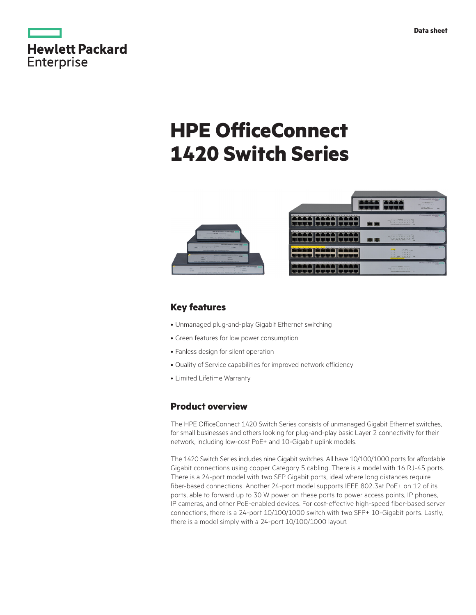|            | Hewlett Packard |
|------------|-----------------|
| Enterprise |                 |

# **HPE OfficeConnect 1420 Switch Series**





### **Key features**

- • Unmanaged plug-and-play Gigabit Ethernet switching
- Green features for low power consumption
- Fanless design for silent operation
- Quality of Service capabilities for improved network efficiency
- • Limited Lifetime Warranty

### **Product overview**

The HPE OfficeConnect 1420 Switch Series consists of unmanaged Gigabit Ethernet switches, for small businesses and others looking for plug-and-play basic Layer 2 connectivity for their network, including low-cost PoE+ and 10-Gigabit uplink models.

The 1420 Switch Series includes nine Gigabit switches. All have 10/100/1000 ports for affordable Gigabit connections using copper Category 5 cabling. There is a model with 16 RJ-45 ports. There is a 24-port model with two SFP Gigabit ports, ideal where long distances require fiber-based connections. Another 24-port model supports IEEE 802.3at PoE+ on 12 of its ports, able to forward up to 30 W power on these ports to power access points, IP phones, IP cameras, and other PoE-enabled devices. For cost-effective high-speed fiber-based server connections, there is a 24-port 10/100/1000 switch with two SFP+ 10-Gigabit ports. Lastly, there is a model simply with a 24-port 10/100/1000 layout.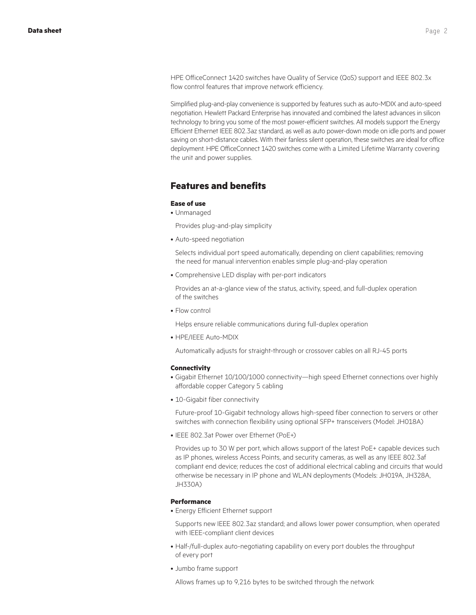HPE OfficeConnect 1420 switches have Quality of Service (QoS) support and IEEE 802.3x flow control features that improve network efficiency.

Simplified plug-and-play convenience is supported by features such as auto-MDIX and auto-speed negotiation. Hewlett Packard Enterprise has innovated and combined the latest advances in silicon technology to bring you some of the most power-efficient switches. All models support the Energy Efficient Ethernet IEEE 802.3az standard, as well as auto power-down mode on idle ports and power saving on short-distance cables. With their fanless silent operation, these switches are ideal for office deployment. HPE OfficeConnect 1420 switches come with a Limited Lifetime Warranty covering the unit and power supplies.

### **Features and benefits**

#### **Ease of use**

• Unmanaged

Provides plug-and-play simplicity

• Auto-speed negotiation

Selects individual port speed automatically, depending on client capabilities; removing the need for manual intervention enables simple plug-and-play operation

• Comprehensive LED display with per-port indicators

Provides an at-a-glance view of the status, activity, speed, and full-duplex operation of the switches

• Flow control

Helps ensure reliable communications during full-duplex operation

• HPE/IEEE Auto-MDIX

Automatically adjusts for straight-through or crossover cables on all RJ-45 ports

#### **Connectivity**

- • Gigabit Ethernet 10/100/1000 connectivity—high speed Ethernet connections over highly affordable copper Category 5 cabling
- 10-Gigabit fiber connectivity

Future-proof 10-Gigabit technology allows high-speed fiber connection to servers or other switches with connection flexibility using optional SFP+ transceivers (Model: JH018A)

• IEEE 802.3at Power over Ethernet (PoE+)

Provides up to 30 W per port, which allows support of the latest PoE+ capable devices such as IP phones, wireless Access Points, and security cameras, as well as any IEEE 802.3af compliant end device; reduces the cost of additional electrical cabling and circuits that would otherwise be necessary in IP phone and WLAN deployments (Models: JH019A, JH328A, JH330A)

#### **Performance**

• Energy Efficient Ethernet support

Supports new IEEE 802.3az standard; and allows lower power consumption, when operated with IEEE-compliant client devices

- Half-/full-duplex auto-negotiating capability on every port doubles the throughput of every port
- • Jumbo frame support

Allows frames up to 9,216 bytes to be switched through the network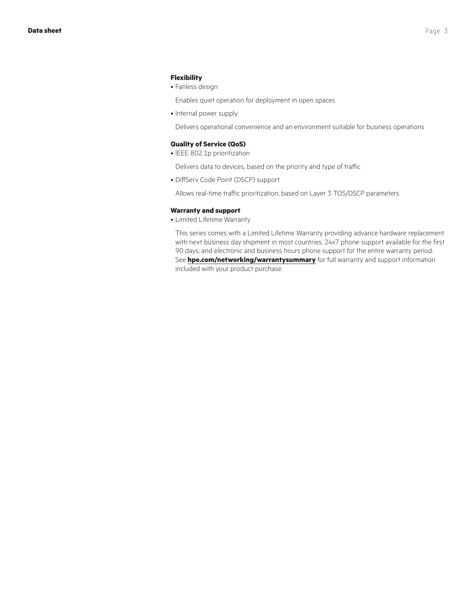#### **Flexibility**

#### • Fanless design

Enables quiet operation for deployment in open spaces

• Internal power supply

Delivers operational convenience and an environment suitable for business operations

#### **Quality of Service (QoS)**

• IEEE 802.1p prioritization

Delivers data to devices, based on the priority and type of traffic

• DiffServ Code Point (DSCP) support

Allows real-time traffic prioritization, based on Layer 3 TOS/DSCP parameters

#### **Warranty and support**

• Limited Lifetime Warranty

This series comes with a Limited Lifetime Warranty providing advance hardware replacement with next business day shipment in most countries, 24x7 phone support available for the first 90 days, and electronic and business hours phone support for the entire warranty period. See **[hpe.com/networking/warrantysummary](http://www.hpe.com/networking/warrantysummary)** for full warranty and support information included with your product purchase.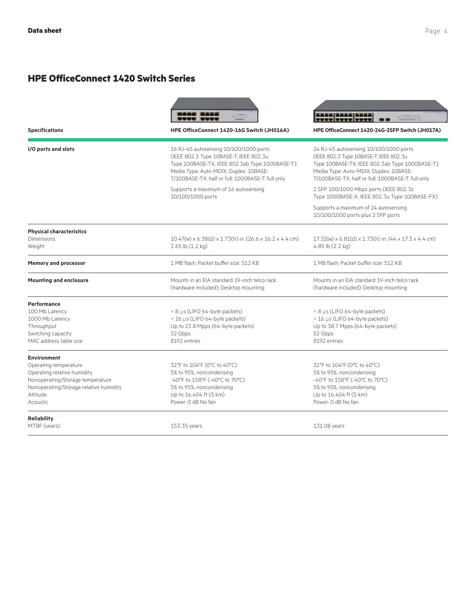### **HPE OfficeConnect 1420 Switch Series**

| <b>Specifications</b>                                                                                                                                                            | HPE OfficeConnect 1420-16G Switch (JH016A)                                                                                                                                                                                         | 2222 2222 2223<br>timmini E<br>HPE OfficeConnect 1420-24G-2SFP Switch (JH017A)                                                                                                                                                     |  |
|----------------------------------------------------------------------------------------------------------------------------------------------------------------------------------|------------------------------------------------------------------------------------------------------------------------------------------------------------------------------------------------------------------------------------|------------------------------------------------------------------------------------------------------------------------------------------------------------------------------------------------------------------------------------|--|
| I/O ports and slots                                                                                                                                                              | 16 RJ-45 autosensing 10/100/1000 ports<br>(IEEE 802.3 Type 10BASE-T, IEEE 802.3u<br>Type 100BASE-TX, IEEE 802.3ab Type 1000BASE-T);<br>Media Type: Auto-MDIX; Duplex: 10BASE-<br>T/100BASE-TX: half or full; 1000BASE-T: full only | 24 RJ-45 autosensing 10/100/1000 ports<br>(IEEE 802.3 Type 10BASE-T, IEEE 802.3u<br>Type 100BASE-TX, IEEE 802.3ab Type 1000BASE-T);<br>Media Type: Auto-MDIX; Duplex: 10BASE-<br>T/100BASE-TX: half or full; 1000BASE-T: full only |  |
|                                                                                                                                                                                  | Supports a maximum of 16 autosensing<br>10/100/1000 ports                                                                                                                                                                          | 2 SFP 100/1000 Mbps ports (IEEE 802.3z<br>Type 1000BASE-X, IEEE 802.3u Type 100BASE-FX)                                                                                                                                            |  |
|                                                                                                                                                                                  |                                                                                                                                                                                                                                    | Supports a maximum of 24 autosensing<br>10/100/1000 ports plus 2 SFP ports                                                                                                                                                         |  |
| <b>Physical characteristics</b><br>Dimensions<br>Weight                                                                                                                          | $10.47$ (w) x 6.38(d) x 1.73(h) in. (26.6 x 16.2 x 4.4 cm)<br>$2.65$ lb $(1.2$ kg)                                                                                                                                                 | $17.32$ (w) x 6.81(d) x 1.73(h) in. (44 x 17.3 x 4.4 cm)<br>4.85 lb $(2.2 \text{ kg})$                                                                                                                                             |  |
| <b>Memory and processor</b>                                                                                                                                                      | 1 MB flash: Packet buffer size: 512 KB                                                                                                                                                                                             | 1 MB flash: Packet buffer size: 512 KB                                                                                                                                                                                             |  |
| Mounts in an EIA standard 19-inch telco rack<br><b>Mounting and enclosure</b><br>(hardware included); Desktop mounting                                                           |                                                                                                                                                                                                                                    | Mounts in an EIA standard 19-inch telco rack<br>(hardware included); Desktop mounting                                                                                                                                              |  |
| Performance<br>100 Mb Latency<br>1000 Mb Latency<br>Throughput<br>Switching capacity<br>MAC address table size                                                                   | < 8 µs (LIFO 64-byte packets)<br>< 16 µs (LIFO 64-byte packets)<br>Up to 23.8 Mpps (64-byte packets)<br>32 Gbps<br>8192 entries                                                                                                    | < 8 µs (LIFO 64-byte packets)<br>< 16 µs (LIFO 64-byte packets)<br>Up to 38.7 Mpps (64-byte packets)<br>52 Gbps<br>8192 entries                                                                                                    |  |
| <b>Environment</b><br>Operating temperature<br>Operating relative humidity<br>Nonoperating/Storage temperature<br>Nonoperating/Storage relative humidity<br>Altitude<br>Acoustic | 32°F to 104°F (0°C to 40°C)<br>5% to 95%, noncondensing<br>-40°F to 158°F (-40°C to 70°C)<br>5% to 95%, noncondensing<br>Up to 16,404 ft (5 km)<br>Power: 0 dB No fan                                                              | 32°F to 104°F (0°C to 40°C)<br>5% to 95%, noncondensing<br>-40°F to 158°F (-40°C to 70°C)<br>5% to 95%, noncondensing<br>Up to 16,404 ft (5 km)<br>Power: 0 dB No fan                                                              |  |
| <b>Reliability</b><br>MTBF (years)                                                                                                                                               | 153.35 years                                                                                                                                                                                                                       | 131.08 years                                                                                                                                                                                                                       |  |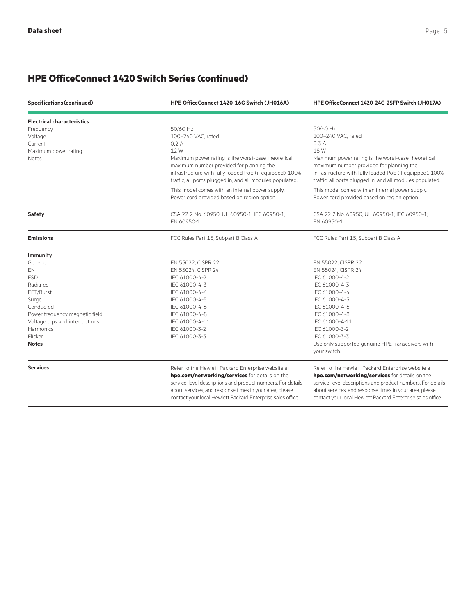| <b>Specifications (continued)</b> | HPE OfficeConnect 1420-16G Switch (JH016A)                                                                                                                                                                              | HPE OfficeConnect 1420-24G-2SFP Switch (JH017A)                                                                                                                                                                         |  |
|-----------------------------------|-------------------------------------------------------------------------------------------------------------------------------------------------------------------------------------------------------------------------|-------------------------------------------------------------------------------------------------------------------------------------------------------------------------------------------------------------------------|--|
| <b>Electrical characteristics</b> |                                                                                                                                                                                                                         |                                                                                                                                                                                                                         |  |
| Frequency                         | 50/60 Hz                                                                                                                                                                                                                | 50/60 Hz                                                                                                                                                                                                                |  |
| Voltage                           | 100-240 VAC, rated                                                                                                                                                                                                      | 100-240 VAC, rated                                                                                                                                                                                                      |  |
| Current                           | 0.2A                                                                                                                                                                                                                    | 0.3A                                                                                                                                                                                                                    |  |
| Maximum power rating              | 12W                                                                                                                                                                                                                     | 18 W                                                                                                                                                                                                                    |  |
| <b>Notes</b>                      | Maximum power rating is the worst-case theoretical<br>maximum number provided for planning the<br>infrastructure with fully loaded PoE (if equipped), 100%<br>traffic, all ports plugged in, and all modules populated. | Maximum power rating is the worst-case theoretical<br>maximum number provided for planning the<br>infrastructure with fully loaded PoE (if equipped), 100%<br>traffic, all ports plugged in, and all modules populated. |  |
|                                   | This model comes with an internal power supply.<br>Power cord provided based on region option.                                                                                                                          | This model comes with an internal power supply.<br>Power cord provided based on region option.                                                                                                                          |  |
| Safety                            | CSA 22.2 No. 60950; UL 60950-1; IEC 60950-1;<br>EN 60950-1                                                                                                                                                              | CSA 22.2 No. 60950; UL 60950-1; IEC 60950-1;<br>EN 60950-1                                                                                                                                                              |  |
| <b>Emissions</b>                  | FCC Rules Part 15, Subpart B Class A                                                                                                                                                                                    | FCC Rules Part 15, Subpart B Class A                                                                                                                                                                                    |  |
| <b>Immunity</b>                   |                                                                                                                                                                                                                         |                                                                                                                                                                                                                         |  |
| Generic                           | EN 55022, CISPR 22                                                                                                                                                                                                      | EN 55022, CISPR 22                                                                                                                                                                                                      |  |
| EΝ                                | EN 55024, CISPR 24                                                                                                                                                                                                      | EN 55024, CISPR 24                                                                                                                                                                                                      |  |
| <b>ESD</b>                        | IEC 61000-4-2                                                                                                                                                                                                           | IEC 61000-4-2                                                                                                                                                                                                           |  |
| Radiated                          | IEC 61000-4-3                                                                                                                                                                                                           | IEC 61000-4-3                                                                                                                                                                                                           |  |
| EFT/Burst                         | IEC 61000-4-4                                                                                                                                                                                                           | IEC 61000-4-4                                                                                                                                                                                                           |  |
| Surge                             | IEC 61000-4-5                                                                                                                                                                                                           | IEC 61000-4-5                                                                                                                                                                                                           |  |
| Conducted                         | IEC 61000-4-6                                                                                                                                                                                                           | IEC 61000-4-6                                                                                                                                                                                                           |  |
| Power frequency magnetic field    | IEC 61000-4-8                                                                                                                                                                                                           | IEC 61000-4-8                                                                                                                                                                                                           |  |
| Voltage dips and interruptions    | IEC 61000-4-11                                                                                                                                                                                                          | IEC 61000-4-11                                                                                                                                                                                                          |  |
| <b>Harmonics</b>                  | IEC 61000-3-2                                                                                                                                                                                                           | IEC 61000-3-2                                                                                                                                                                                                           |  |
| Flicker                           | IEC 61000-3-3                                                                                                                                                                                                           | IEC 61000-3-3                                                                                                                                                                                                           |  |
| Notes                             |                                                                                                                                                                                                                         | Use only supported genuine HPE transceivers with<br>your switch.                                                                                                                                                        |  |
| <b>Services</b>                   | Refer to the Hewlett Packard Enterprise website at                                                                                                                                                                      | Refer to the Hewlett Packard Enterprise website at                                                                                                                                                                      |  |
|                                   | hpe.com/networking/services for details on the                                                                                                                                                                          | hpe.com/networking/services for details on the                                                                                                                                                                          |  |
|                                   | service-level descriptions and product numbers. For details<br>about services, and response times in your area, please<br>contact your local Hewlett Packard Enterprise sales office.                                   | service-level descriptions and product numbers. For details<br>about services, and response times in your area, please<br>contact your local Hewlett Packard Enterprise sales office.                                   |  |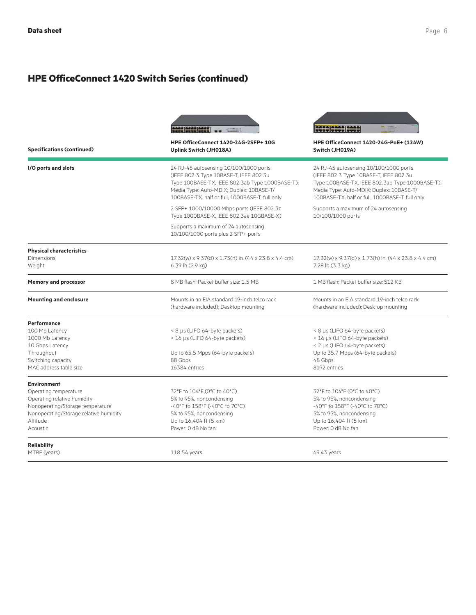| <b>Specifications (continued)</b>                                                                                                                                                | <b>AND ENTRENT</b><br>HPE OfficeConnect 1420-24G-2SFP+ 10G<br>Uplink Switch (JH018A)                                                                                                                                               | <b>2000 0000 0000</b><br><b>HPE OfficeConnect 1420-24G-PoE+ (124W)</b><br>Switch (JH019A)                                                                                                                                          |
|----------------------------------------------------------------------------------------------------------------------------------------------------------------------------------|------------------------------------------------------------------------------------------------------------------------------------------------------------------------------------------------------------------------------------|------------------------------------------------------------------------------------------------------------------------------------------------------------------------------------------------------------------------------------|
| I/O ports and slots                                                                                                                                                              | 24 RJ-45 autosensing 10/100/1000 ports<br>(IEEE 802.3 Type 10BASE-T, IEEE 802.3u<br>Type 100BASE-TX, IEEE 802.3ab Type 1000BASE-T);<br>Media Type: Auto-MDIX; Duplex: 10BASE-T/<br>100BASE-TX: half or full; 1000BASE-T: full only | 24 RJ-45 autosensing 10/100/1000 ports<br>(IEEE 802.3 Type 10BASE-T, IEEE 802.3u<br>Type 100BASE-TX, IEEE 802.3ab Type 1000BASE-T);<br>Media Type: Auto-MDIX; Duplex: 10BASE-T/<br>100BASE-TX: half or full; 1000BASE-T: full only |
|                                                                                                                                                                                  | 2 SFP+ 1000/10000 Mbps ports (IEEE 802.3z<br>Type 1000BASE-X, IEEE 802.3ae 10GBASE-X)<br>Supports a maximum of 24 autosensing                                                                                                      | Supports a maximum of 24 autosensing<br>10/100/1000 ports                                                                                                                                                                          |
|                                                                                                                                                                                  | 10/100/1000 ports plus 2 SFP+ ports                                                                                                                                                                                                |                                                                                                                                                                                                                                    |
| <b>Physical characteristics</b><br>Dimensions<br>Weight                                                                                                                          | 17.32(w) x 9.37(d) x 1.73(h) in. (44 x 23.8 x 4.4 cm)<br>6.39 lb (2.9 kg)                                                                                                                                                          | 17.32(w) x 9.37(d) x 1.73(h) in. (44 x 23.8 x 4.4 cm)<br>7.28 lb (3.3 kg)                                                                                                                                                          |
| <b>Memory and processor</b>                                                                                                                                                      | 8 MB flash: Packet buffer size: 1.5 MB                                                                                                                                                                                             | 1 MB flash: Packet buffer size: 512 KB                                                                                                                                                                                             |
| <b>Mounting and enclosure</b>                                                                                                                                                    | Mounts in an FIA standard 19-inch telco rack<br>(hardware included); Desktop mounting                                                                                                                                              | Mounts in an FIA standard 19-inch telco rack<br>(hardware included); Desktop mounting                                                                                                                                              |
| Performance<br>100 Mb Latency<br>1000 Mb Latency<br>10 Gbps Latency<br>Throughput<br>Switching capacity<br>MAC address table size                                                | < 8 µs (LIFO 64-byte packets)<br>< 16 µs (LIFO 64-byte packets)<br>Up to 65.5 Mpps (64-byte packets)<br>88 Gbps<br>16384 entries                                                                                                   | < 8 µs (LIFO 64-byte packets)<br>< 16 µs (LIFO 64-byte packets)<br>< 2 µs (LIFO 64-byte packets)<br>Up to 35.7 Mpps (64-byte packets)<br>48 Gbps<br>8192 entries                                                                   |
| <b>Environment</b><br>Operating temperature<br>Operating relative humidity<br>Nonoperating/Storage temperature<br>Nonoperating/Storage relative humidity<br>Altitude<br>Acoustic | 32°F to 104°F (0°C to 40°C)<br>5% to 95%, noncondensing<br>-40°F to 158°F (-40°C to 70°C)<br>5% to 95%, noncondensing<br>Up to 16,404 ft (5 km)<br>Power: 0 dB No fan                                                              | 32°F to 104°F (0°C to 40°C)<br>5% to 95%, noncondensing<br>-40°F to 158°F (-40°C to 70°C)<br>5% to 95%, noncondensing<br>Up to 16,404 ft (5 km)<br>Power: 0 dB No fan                                                              |
| <b>Reliability</b><br>MTBF (years)                                                                                                                                               | 118.54 years                                                                                                                                                                                                                       | 69.43 years                                                                                                                                                                                                                        |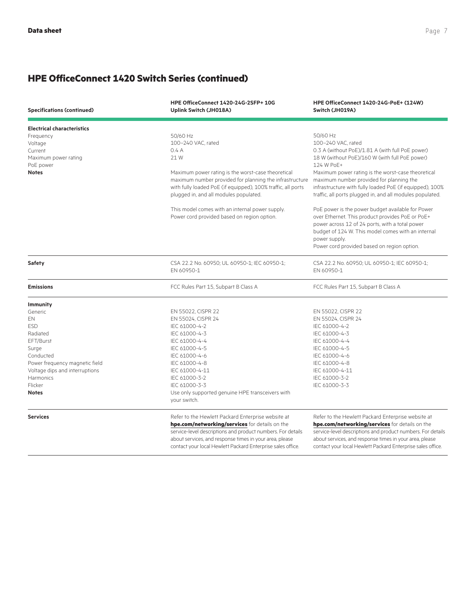| HPE OfficeConnect 1420-24G-2SFP+ 10G<br><b>Specifications (continued)</b><br>Uplink Switch (JH018A) |                                                                  | HPE OfficeConnect 1420-24G-PoE+ (124W)<br>Switch (JH019A)    |  |
|-----------------------------------------------------------------------------------------------------|------------------------------------------------------------------|--------------------------------------------------------------|--|
| <b>Electrical characteristics</b>                                                                   |                                                                  |                                                              |  |
| Frequency                                                                                           | 50/60 Hz                                                         | 50/60 Hz                                                     |  |
| Voltage                                                                                             | 100-240 VAC, rated                                               | 100-240 VAC, rated                                           |  |
| Current                                                                                             | 0.4A                                                             | 0.3 A (without PoE)/1.81 A (with full PoE power)             |  |
| Maximum power rating<br>PoE power                                                                   | 21 W                                                             | 18 W (without PoE)/160 W (with full PoE power)<br>124 W PoE+ |  |
| <b>Notes</b>                                                                                        | Maximum power rating is the worst-case theoretical               | Maximum power rating is the worst-case theoretical           |  |
|                                                                                                     | maximum number provided for planning the infrastructure          | maximum number provided for planning the                     |  |
|                                                                                                     | with fully loaded PoE (if equipped), 100% traffic, all ports     | infrastructure with fully loaded PoE (if equipped), 100%     |  |
|                                                                                                     | plugged in, and all modules populated.                           | traffic, all ports plugged in, and all modules populated.    |  |
|                                                                                                     | This model comes with an internal power supply.                  | PoE power is the power budget available for Power            |  |
|                                                                                                     | Power cord provided based on region option.                      | over Ethernet. This product provides PoE or PoE+             |  |
|                                                                                                     |                                                                  | power across 12 of 24 ports, with a total power              |  |
|                                                                                                     |                                                                  | budget of 124 W. This model comes with an internal           |  |
|                                                                                                     |                                                                  | power supply.                                                |  |
|                                                                                                     |                                                                  | Power cord provided based on region option.                  |  |
| Safety                                                                                              | CSA 22.2 No. 60950; UL 60950-1; IEC 60950-1;                     | CSA 22.2 No. 60950; UL 60950-1; IEC 60950-1;                 |  |
|                                                                                                     | EN 60950-1                                                       | EN 60950-1                                                   |  |
| <b>Emissions</b>                                                                                    | FCC Rules Part 15, Subpart B Class A                             | FCC Rules Part 15, Subpart B Class A                         |  |
| <b>Immunity</b>                                                                                     |                                                                  |                                                              |  |
| Generic                                                                                             | EN 55022, CISPR 22                                               | EN 55022, CISPR 22                                           |  |
| EN                                                                                                  | EN 55024, CISPR 24                                               | EN 55024, CISPR 24                                           |  |
| <b>ESD</b>                                                                                          | IEC 61000-4-2                                                    | IEC 61000-4-2                                                |  |
| Radiated                                                                                            | IEC 61000-4-3                                                    | IEC 61000-4-3                                                |  |
| EFT/Burst                                                                                           | IEC 61000-4-4                                                    | IEC 61000-4-4                                                |  |
| Surge                                                                                               | IEC 61000-4-5                                                    | IEC 61000-4-5                                                |  |
| Conducted                                                                                           | IEC 61000-4-6                                                    | IEC 61000-4-6                                                |  |
| Power frequency magnetic field                                                                      | IEC 61000-4-8                                                    | IEC 61000-4-8                                                |  |
| Voltage dips and interruptions                                                                      | IEC 61000-4-11                                                   | IEC 61000-4-11                                               |  |
| <b>Harmonics</b>                                                                                    | IEC 61000-3-2                                                    | IEC 61000-3-2                                                |  |
| Flicker                                                                                             | IEC 61000-3-3                                                    | IEC 61000-3-3                                                |  |
| <b>Notes</b>                                                                                        | Use only supported genuine HPE transceivers with<br>your switch. |                                                              |  |
| <b>Services</b>                                                                                     | Refer to the Hewlett Packard Enterprise website at               | Refer to the Hewlett Packard Enterprise website at           |  |
|                                                                                                     | hpe.com/networking/services for details on the                   | hpe.com/networking/services for details on the               |  |
|                                                                                                     | service-level descriptions and product numbers. For details      | service-level descriptions and product numbers. For details  |  |
|                                                                                                     | about services, and response times in your area, please          | about services, and response times in your area, please      |  |
|                                                                                                     | contact your local Hewlett Packard Enterprise sales office.      | contact your local Hewlett Packard Enterprise sales office.  |  |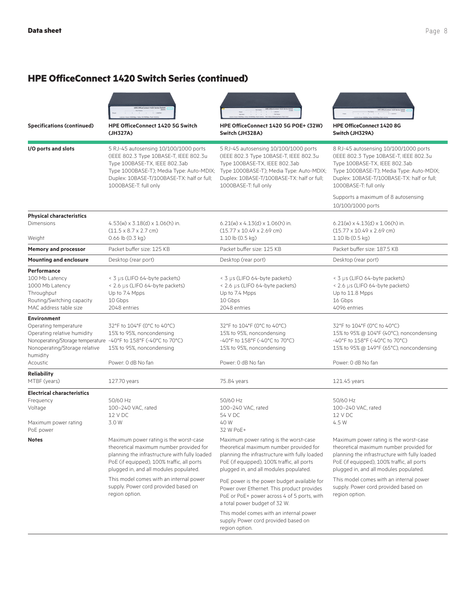

1000BASE-T: full only

(IEEE 802.3 Type 10BASE-T, IEEE 802.3u Type 100BASE-TX, IEEE 802.3ab

Duplex: 10BASE-T/100BASE-TX: half or full;

**Specifications (continued) HPE OfficeConnect 1420 5G Switch (JH327A)**

**I/O ports and slots** 5 RJ-45 autosensing 10/100/1000 ports





Type 100BASE-TX, IEEE 802.3ab

**HPE OfficeConnect 1420 8G Switch (JH329A)**

**HPE OfficeConnect 1420 5G POE+ (32W) Switch (JH328A)**

Type 1000BASE-T); Media Type: Auto-MDIX; Type 1000BASE-T); Media Type: Auto-MDIX; 5 RJ-45 autosensing 10/100/1000 ports (IEEE 802.3 Type 10BASE-T, IEEE 802.3u Type 100BASE-TX, IEEE 802.3ab Duplex: 10BASE-T/100BASE-TX: half or full; 1000BASE-T: full only 8 RJ-45 autosensing 10/100/1000 ports (IEEE 802.3 Type 10BASE-T, IEEE 802.3u Type 1000BASE-T); Media Type: Auto-MDIX; Duplex: 10BASE-T/100BASE-TX: half or full; 1000BASE-T: full only

|                                                                                                                                                                                  |                                                                                                                                                                                                                            |                                                                                                                                                                                                                            | Supports a maximum of 8 autosensing<br>10/100/1000 ports                                                                                                                                                                   |
|----------------------------------------------------------------------------------------------------------------------------------------------------------------------------------|----------------------------------------------------------------------------------------------------------------------------------------------------------------------------------------------------------------------------|----------------------------------------------------------------------------------------------------------------------------------------------------------------------------------------------------------------------------|----------------------------------------------------------------------------------------------------------------------------------------------------------------------------------------------------------------------------|
| <b>Physical characteristics</b>                                                                                                                                                  |                                                                                                                                                                                                                            |                                                                                                                                                                                                                            |                                                                                                                                                                                                                            |
| <b>Dimensions</b><br>Weight                                                                                                                                                      | $4.53(w) \times 3.18(d) \times 1.06(h)$ in.<br>$(11.5 \times 8.7 \times 2.7$ cm)<br>0.66 lb (0.3 kg)                                                                                                                       | $6.21(w) \times 4.13(d) \times 1.06(h)$ in.<br>$(15.77 \times 10.49 \times 2.69$ cm)<br>1.10 lb (0.5 kg)                                                                                                                   | $6.21(w) \times 4.13(d) \times 1.06(h)$ in.<br>$(15.77 \times 10.49 \times 2.69$ cm)<br>1.10 lb (0.5 kg)                                                                                                                   |
| <b>Memory and processor</b>                                                                                                                                                      | Packet buffer size: 125 KB                                                                                                                                                                                                 | Packet buffer size: 125 KB                                                                                                                                                                                                 | Packet buffer size: 187.5 KB                                                                                                                                                                                               |
| <b>Mounting and enclosure</b>                                                                                                                                                    | Desktop (rear port)                                                                                                                                                                                                        | Desktop (rear port)                                                                                                                                                                                                        | Desktop (rear port)                                                                                                                                                                                                        |
| Performance                                                                                                                                                                      |                                                                                                                                                                                                                            |                                                                                                                                                                                                                            |                                                                                                                                                                                                                            |
| 100 Mb Latency<br>1000 Mb Latency<br>Throughput<br>Routing/Switching capacity<br>MAC address table size                                                                          | < 3 µs (LIFO 64-byte packets)<br>< 2.6 µs (LIFO 64-byte packets)<br>Up to 7.4 Mpps<br>10 Gbps<br>2048 entries                                                                                                              | < 3 µs (LIFO 64-byte packets)<br>< 2.6 µs (LIFO 64-byte packets)<br>Up to 7.4 Mpps<br>10 Gbps<br>2048 entries                                                                                                              | < 3 µs (LIFO 64-byte packets)<br>< 2.6 µs (LIFO 64-byte packets)<br>Up to 11.8 Mpps<br>16 Gbps<br>4096 entries                                                                                                             |
| <b>Environment</b>                                                                                                                                                               |                                                                                                                                                                                                                            |                                                                                                                                                                                                                            |                                                                                                                                                                                                                            |
| Operating temperature<br>Operating relative humidity<br>Nonoperating/Storage temperature -40°F to 158°F (-40°C to 70°C)<br>Nonoperating/Storage relative<br>humidity<br>Acoustic | 32°F to 104°F (0°C to 40°C)<br>15% to 95%, noncondensing<br>15% to 95%, noncondensing<br>Power: 0 dB No fan                                                                                                                | 32°F to 104°F (0°C to 40°C)<br>15% to 95%, noncondensing<br>-40°F to 158°F (-40°C to 70°C)<br>15% to 95%, noncondensing<br>Power: 0 dB No fan                                                                              | 32°F to 104°F (0°C to 40°C)<br>15% to 95% @ 104°F (40°C), noncondensing<br>-40°F to 158°F (-40°C to 70°C)<br>15% to 95% @ 149°F (65°C), noncondensing<br>Power: 0 dB No fan                                                |
| <b>Reliability</b>                                                                                                                                                               |                                                                                                                                                                                                                            |                                                                                                                                                                                                                            |                                                                                                                                                                                                                            |
| MTBF (years)                                                                                                                                                                     | 127.70 years                                                                                                                                                                                                               | 75.84 years                                                                                                                                                                                                                | 121.45 years                                                                                                                                                                                                               |
| <b>Electrical characteristics</b>                                                                                                                                                |                                                                                                                                                                                                                            |                                                                                                                                                                                                                            |                                                                                                                                                                                                                            |
| Frequency<br>Voltage<br>Maximum power rating<br>PoE power                                                                                                                        | 50/60 Hz<br>100-240 VAC, rated<br>12 V DC<br>3.0 W                                                                                                                                                                         | 50/60 Hz<br>100-240 VAC, rated<br>54 V DC<br>40 W<br>32 W PoF+                                                                                                                                                             | 50/60 Hz<br>100-240 VAC, rated<br>12 V DC<br>4.5 W                                                                                                                                                                         |
| <b>Notes</b>                                                                                                                                                                     | Maximum power rating is the worst-case<br>theoretical maximum number provided for<br>planning the infrastructure with fully loaded<br>PoE (if equipped), 100% traffic, all ports<br>plugged in, and all modules populated. | Maximum power rating is the worst-case<br>theoretical maximum number provided for<br>planning the infrastructure with fully loaded<br>PoE (if equipped), 100% traffic, all ports<br>plugged in, and all modules populated. | Maximum power rating is the worst-case<br>theoretical maximum number provided for<br>planning the infrastructure with fully loaded<br>PoE (if equipped), 100% traffic, all ports<br>plugged in, and all modules populated. |
|                                                                                                                                                                                  | This model comes with an internal power<br>supply. Power cord provided based on<br>region option.                                                                                                                          | PoE power is the power budget available for<br>Power over Ethernet. This product provides<br>PoE or PoE+ power across 4 of 5 ports, with<br>a total power budget of 32 W.                                                  | This model comes with an internal power<br>supply. Power cord provided based on<br>region option.                                                                                                                          |
|                                                                                                                                                                                  |                                                                                                                                                                                                                            | This model comes with an internal power<br>supply. Power cord provided based on<br>region option.                                                                                                                          |                                                                                                                                                                                                                            |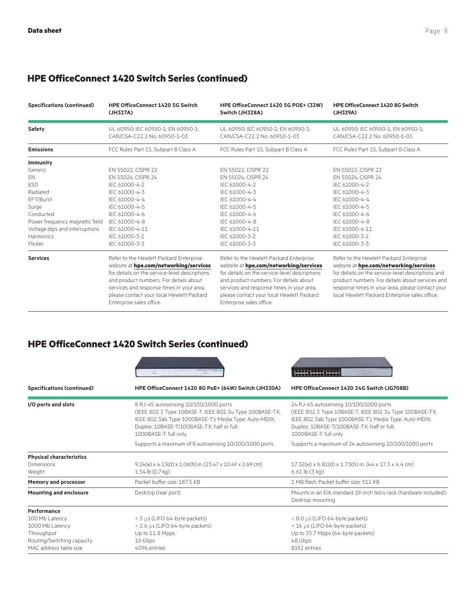| <b>Specifications (continued)</b> | <b>HPE OfficeConnect 1420 5G Switch</b>                                                                                                                                                                                                                                                            | HPE OfficeConnect 1420 5G POE+ (32W)                                                                                                                                                                                                                                                               | <b>HPE OfficeConnect 1420 8G Switch</b>                                                                                                                                                                                                                                                         |
|-----------------------------------|----------------------------------------------------------------------------------------------------------------------------------------------------------------------------------------------------------------------------------------------------------------------------------------------------|----------------------------------------------------------------------------------------------------------------------------------------------------------------------------------------------------------------------------------------------------------------------------------------------------|-------------------------------------------------------------------------------------------------------------------------------------------------------------------------------------------------------------------------------------------------------------------------------------------------|
|                                   | (JH327A)                                                                                                                                                                                                                                                                                           | Switch (JH328A)                                                                                                                                                                                                                                                                                    | (JH329A)                                                                                                                                                                                                                                                                                        |
| Safety                            | UL 60950; IEC 60950-1; EN 60950-1;                                                                                                                                                                                                                                                                 | UL 60950; IEC 60950-1; EN 60950-1;                                                                                                                                                                                                                                                                 | UL 60950; IEC 60950-1; EN 60950-1;                                                                                                                                                                                                                                                              |
|                                   | CAN/CSA-C22.2 No. 60950-1-03                                                                                                                                                                                                                                                                       | CAN/CSA-C22.2 No. 60950-1-03                                                                                                                                                                                                                                                                       | CAN/CSA-C22.2 No. 60950-1-03                                                                                                                                                                                                                                                                    |
| <b>Emissions</b>                  | FCC Rules Part 15, Subpart B Class A                                                                                                                                                                                                                                                               | FCC Rules Part 15, Subpart B Class A                                                                                                                                                                                                                                                               | FCC Rules Part 15, Subpart B Class A                                                                                                                                                                                                                                                            |
| Immunity<br>Generic               | EN 55022, CISPR 22                                                                                                                                                                                                                                                                                 | EN 55022, CISPR 22                                                                                                                                                                                                                                                                                 | EN 55022, CISPR 22                                                                                                                                                                                                                                                                              |
| EN                                | EN 55024, CISPR 24                                                                                                                                                                                                                                                                                 | EN 55024, CISPR 24                                                                                                                                                                                                                                                                                 | EN 55024, CISPR 24                                                                                                                                                                                                                                                                              |
| <b>ESD</b>                        | IEC 61000-4-2                                                                                                                                                                                                                                                                                      | IEC 61000-4-2                                                                                                                                                                                                                                                                                      | IEC 61000-4-2                                                                                                                                                                                                                                                                                   |
| Radiated                          | IEC 61000-4-3                                                                                                                                                                                                                                                                                      | IEC 61000-4-3                                                                                                                                                                                                                                                                                      | IEC 61000-4-3                                                                                                                                                                                                                                                                                   |
| EFT/Burst                         | IEC 61000-4-4                                                                                                                                                                                                                                                                                      | IEC 61000-4-4                                                                                                                                                                                                                                                                                      | IEC 61000-4-4                                                                                                                                                                                                                                                                                   |
| Surge                             | IEC 61000-4-5                                                                                                                                                                                                                                                                                      | IEC 61000-4-5                                                                                                                                                                                                                                                                                      | IEC 61000-4-5                                                                                                                                                                                                                                                                                   |
| Conducted                         | IFC 61000-4-6                                                                                                                                                                                                                                                                                      | IFC 61000-4-6                                                                                                                                                                                                                                                                                      | IFC 61000-4-6                                                                                                                                                                                                                                                                                   |
| Power frequency magnetic field    | IEC 61000-4-8                                                                                                                                                                                                                                                                                      | IEC 61000-4-8                                                                                                                                                                                                                                                                                      | IEC 61000-4-8                                                                                                                                                                                                                                                                                   |
| Voltage dips and interruptions    | IEC 61000-4-11                                                                                                                                                                                                                                                                                     | IEC 61000-4-11                                                                                                                                                                                                                                                                                     | IEC 61000-4-11                                                                                                                                                                                                                                                                                  |
| Harmonics                         | IFC 61000-3-2                                                                                                                                                                                                                                                                                      | IFC 61000-3-2                                                                                                                                                                                                                                                                                      | IEC 61000-3-2                                                                                                                                                                                                                                                                                   |
| Flicker                           | IEC 61000-3-3                                                                                                                                                                                                                                                                                      | IEC 61000-3-3                                                                                                                                                                                                                                                                                      | IEC 61000-3-3                                                                                                                                                                                                                                                                                   |
| <b>Services</b>                   | Refer to the Hewlett Packard Enterprise<br>website at hpe.com/networking/services<br>for details on the service-level descriptions<br>and product numbers. For details about<br>services and response times in your area,<br>please contact your local Hewlett Packard<br>Enterprise sales office. | Refer to the Hewlett Packard Enterprise<br>website at hpe.com/networking/services<br>for details on the service-level descriptions<br>and product numbers. For details about<br>services and response times in your area,<br>please contact your local Hewlett Packard<br>Enterprise sales office. | Refer to the Hewlett Packard Enterprise<br>website at hpe.com/networking/services<br>for details on the service-level descriptions and<br>product numbers. For details about services and<br>response times in your area, please contact your<br>local Hewlett Packard Enterprise sales office. |

### **HPE OfficeConnect 1420 Switch Series (continued)**

|                                   |                                                                                                                                                                                                                                  | HHH HHH HHH<br><u>odhu</u> dru                                                                                                                                                                                                    |
|-----------------------------------|----------------------------------------------------------------------------------------------------------------------------------------------------------------------------------------------------------------------------------|-----------------------------------------------------------------------------------------------------------------------------------------------------------------------------------------------------------------------------------|
| <b>Specifications (continued)</b> | HPE OfficeConnect 1420 8G PoE+ (64W) Switch (JH330A)                                                                                                                                                                             | HPE OfficeConnect 1420 24G Switch (JG708B)                                                                                                                                                                                        |
| I/O ports and slots               | 8 RJ-45 autosensing 10/100/1000 ports<br>(IEEE 802.3 Type 10BASE-T, IEEE 802.3u Type 100BASE-TX,<br>IEEE 802.3ab Type 1000BASE-T); Media Type: Auto-MDIX;<br>Duplex: 10BASE-T/100BASE-TX: half or full;<br>1000BASE-T: full only | 24 RJ-45 autosensing 10/100/1000 ports<br>(IEEE 802.3 Type 10BASE-T, IEEE 802.3u Type 100BASE-TX,<br>IEEE 802.3ab Type 1000BASE-T); Media Type: Auto-MDIX;<br>Duplex: 10BASE-T/100BASE-TX: half or full;<br>1000BASE-T: full only |
|                                   | Supports a maximum of 8 autosensing 10/100/1000 ports                                                                                                                                                                            | Supports a maximum of 24 autosensing 10/100/1000 ports                                                                                                                                                                            |
| <b>Physical characteristics</b>   |                                                                                                                                                                                                                                  |                                                                                                                                                                                                                                   |
| Dimensions                        | $9.24(w)$ x 4.13(d) x 1.06(h) in. (23.47 x 10.49 x 2.69 cm)                                                                                                                                                                      | $17.32(w) \times 6.81(d) \times 1.73(h)$ in. $(44 \times 17.3 \times 4.4 \text{ cm})$                                                                                                                                             |
| Weight                            | 1.54 lb (0.7 kg)                                                                                                                                                                                                                 | $6.61$ lb $(3$ kg)                                                                                                                                                                                                                |
| <b>Memory and processor</b>       | Packet buffer size: 187.5 KB                                                                                                                                                                                                     | 1 MB flash: Packet buffer size: 512 KB                                                                                                                                                                                            |
| <b>Mounting and enclosure</b>     | Mounts in an EIA standard 19-inch telco rack (hardware included);<br>Desktop (rear port)<br>Desktop mounting                                                                                                                     |                                                                                                                                                                                                                                   |
| Performance                       |                                                                                                                                                                                                                                  |                                                                                                                                                                                                                                   |
| 100 Mb Latency                    | < 3 µs (LIFO 64-byte packets)                                                                                                                                                                                                    | < 8.0 µs (LIFO 64-byte packets)                                                                                                                                                                                                   |
| 1000 Mb Latency                   | < 2.6 µs (LIFO 64-byte packets)                                                                                                                                                                                                  | < 16 µs (LIFO 64-byte packets)                                                                                                                                                                                                    |
| Throughput                        | Up to 11.8 Mpps                                                                                                                                                                                                                  | Up to 35.7 Mpps (64-byte packets)                                                                                                                                                                                                 |
| Routing/Switching capacity        | 16 Gbps                                                                                                                                                                                                                          | 48 Gbps                                                                                                                                                                                                                           |
| MAC address table size            | 4096 entries                                                                                                                                                                                                                     | 8192 entries                                                                                                                                                                                                                      |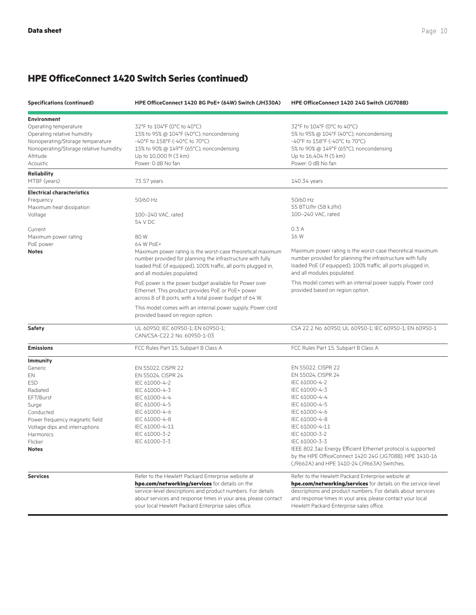| <b>Specifications (continued)</b><br>HPE OfficeConnect 1420 8G PoE+ (64W) Switch (JH330A) |                                                                                                | HPE OfficeConnect 1420 24G Switch (JG708B)                                                                              |  |
|-------------------------------------------------------------------------------------------|------------------------------------------------------------------------------------------------|-------------------------------------------------------------------------------------------------------------------------|--|
| <b>Environment</b>                                                                        |                                                                                                |                                                                                                                         |  |
| Operating temperature                                                                     | 32°F to 104°F (0°C to 40°C)                                                                    | 32°F to 104°F (0°C to 40°C)                                                                                             |  |
| Operating relative humidity                                                               | 15% to 95% @ 104°F (40°C), noncondensing                                                       | 5% to 95% @ 104°F (40°C), noncondensing                                                                                 |  |
| Nonoperating/Storage temperature                                                          | -40°F to 158°F (-40°C to 70°C)                                                                 | -40°F to 158°F (-40°C to 70°C)                                                                                          |  |
| Nonoperating/Storage relative humidity                                                    | 15% to 90% @ 149°F (65°C), noncondensing                                                       | 5% to 90% @ 149°F (65°C), noncondensing                                                                                 |  |
| Altitude                                                                                  | Up to 10,000 ft (3 km)                                                                         | Up to 16,404 ft (5 km)                                                                                                  |  |
| Acoustic                                                                                  | Power: 0 dB No fan                                                                             | Power: 0 dB No fan                                                                                                      |  |
| <b>Reliability</b>                                                                        |                                                                                                |                                                                                                                         |  |
| MTBF (years)                                                                              | 73.57 years                                                                                    | 140.34 years                                                                                                            |  |
| <b>Electrical characteristics</b>                                                         |                                                                                                |                                                                                                                         |  |
| Frequency                                                                                 | 50/60 Hz                                                                                       | 50/60 Hz                                                                                                                |  |
| Maximum heat dissipation                                                                  |                                                                                                | 55 BTU/hr (58 kJ/hr)                                                                                                    |  |
| Voltage                                                                                   | 100-240 VAC, rated                                                                             | 100-240 VAC, rated                                                                                                      |  |
|                                                                                           | 54 V DC                                                                                        |                                                                                                                         |  |
| Current                                                                                   |                                                                                                | 0.3A                                                                                                                    |  |
| Maximum power rating                                                                      | 80W                                                                                            | 16 W                                                                                                                    |  |
| PoE power                                                                                 | 64 W PoE+                                                                                      |                                                                                                                         |  |
| <b>Notes</b>                                                                              | Maximum power rating is the worst-case theoretical maximum                                     | Maximum power rating is the worst-case theoretical maximum                                                              |  |
|                                                                                           | number provided for planning the infrastructure with fully                                     | number provided for planning the infrastructure with fully                                                              |  |
|                                                                                           | loaded PoE (if equipped), 100% traffic, all ports plugged in,                                  | loaded PoE (if equipped), 100% traffic, all ports plugged in,                                                           |  |
|                                                                                           | and all modules populated.                                                                     | and all modules populated.                                                                                              |  |
|                                                                                           | PoE power is the power budget available for Power over                                         | This model comes with an internal power supply. Power cord                                                              |  |
|                                                                                           | Ethernet. This product provides PoE or PoE+ power                                              | provided based on region option.                                                                                        |  |
|                                                                                           | across 8 of 8 ports, with a total power budget of 64 W.                                        |                                                                                                                         |  |
|                                                                                           |                                                                                                |                                                                                                                         |  |
|                                                                                           | This model comes with an internal power supply. Power cord<br>provided based on region option. |                                                                                                                         |  |
|                                                                                           |                                                                                                |                                                                                                                         |  |
| Safety                                                                                    | UL 60950; IEC 60950-1; EN 60950-1;<br>CAN/CSA-C22.2 No. 60950-1-03                             | CSA 22.2 No. 60950; UL 60950-1; IEC 60950-1; EN 60950-1                                                                 |  |
| <b>Emissions</b>                                                                          | FCC Rules Part 15, Subpart B Class A                                                           | FCC Rules Part 15, Subpart B Class A                                                                                    |  |
|                                                                                           |                                                                                                |                                                                                                                         |  |
| <b>Immunity</b>                                                                           |                                                                                                |                                                                                                                         |  |
| Generic                                                                                   | EN 55022, CISPR 22                                                                             | EN 55022, CISPR 22                                                                                                      |  |
| EN                                                                                        | EN 55024, CISPR 24                                                                             | EN 55024, CISPR 24                                                                                                      |  |
| <b>ESD</b>                                                                                | IEC 61000-4-2                                                                                  | IEC 61000-4-2                                                                                                           |  |
| Radiated                                                                                  | IEC 61000-4-3                                                                                  | IEC 61000-4-3                                                                                                           |  |
| EFT/Burst                                                                                 | IEC 61000-4-4                                                                                  | IEC 61000-4-4                                                                                                           |  |
| Surge                                                                                     | IEC 61000-4-5                                                                                  | IEC 61000-4-5                                                                                                           |  |
| Conducted                                                                                 | IEC 61000-4-6                                                                                  | IEC 61000-4-6                                                                                                           |  |
| Power frequency magnetic field                                                            | IEC 61000-4-8                                                                                  | IEC 61000-4-8                                                                                                           |  |
| Voltage dips and interruptions                                                            | IEC 61000-4-11                                                                                 | IEC 61000-4-11<br>IEC 61000-3-2                                                                                         |  |
| Harmonics                                                                                 | IEC 61000-3-2                                                                                  |                                                                                                                         |  |
| Flicker                                                                                   | IEC 61000-3-3                                                                                  | IEC 61000-3-3                                                                                                           |  |
| <b>Notes</b>                                                                              |                                                                                                | IEEE 802.3az Energy Efficient Ethernet protocol is supported<br>by the HPE OfficeConnect 1420 24G (JG708B), HPE 1410-16 |  |
|                                                                                           |                                                                                                | (J9662A) and HPE 1410-24 (J9663A) Switches.                                                                             |  |
| <b>Services</b>                                                                           | Refer to the Hewlett Packard Enterprise website at                                             | Refer to the Hewlett Packard Enterprise website at                                                                      |  |
|                                                                                           | hpe.com/networking/services for details on the                                                 | hpe.com/networking/services for details on the service-level                                                            |  |
|                                                                                           | service-level descriptions and product numbers. For details                                    | descriptions and product numbers. For details about services                                                            |  |
|                                                                                           | about services and response times in your area, please contact                                 | and response times in your area, please contact your local                                                              |  |
|                                                                                           | your local Hewlett Packard Enterprise sales office.                                            | Hewlett Packard Enterprise sales office.                                                                                |  |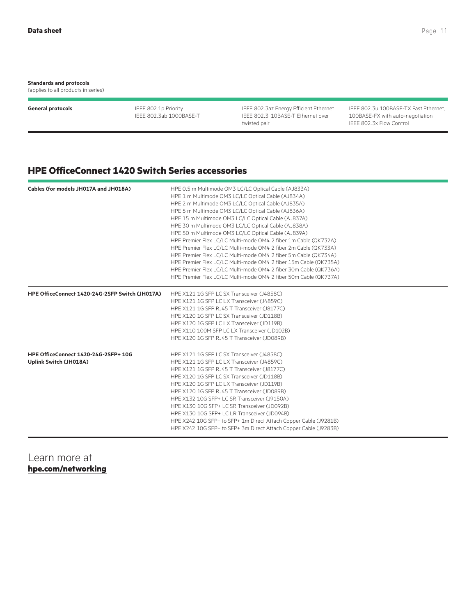#### **Standards and protocols**

(applies to all products in series)

**General protocols** IEEE 802.1p Priority IEEE 802.3ab 1000BASE-T IEEE 802.3az Energy Efficient Ethernet IEEE 802.3i 10BASE-T Ethernet over twisted pair

IEEE 802.3u 100BASE-TX Fast Ethernet, 100BASE-FX with auto-negotiation IEEE 802.3x Flow Control

### **HPE OfficeConnect 1420 Switch Series accessories**

| Cables (for models JH017A and JH018A)           | HPE 0.5 m Multimode OM3 LC/LC Optical Cable (AJ833A)<br>HPE 1 m Multimode OM3 LC/LC Optical Cable (AJ834A) |  |  |
|-------------------------------------------------|------------------------------------------------------------------------------------------------------------|--|--|
|                                                 |                                                                                                            |  |  |
|                                                 | HPE 2 m Multimode OM3 LC/LC Optical Cable (AJ835A)                                                         |  |  |
|                                                 | HPE 5 m Multimode OM3 LC/LC Optical Cable (AJ836A)                                                         |  |  |
|                                                 | HPE 15 m Multimode OM3 LC/LC Optical Cable (AJ837A)                                                        |  |  |
|                                                 | HPE 30 m Multimode OM3 LC/LC Optical Cable (AJ838A)                                                        |  |  |
|                                                 | HPE 50 m Multimode OM3 LC/LC Optical Cable (AJ839A)                                                        |  |  |
|                                                 | HPE Premier Flex LC/LC Multi-mode OM4 2 fiber 1m Cable (QK732A)                                            |  |  |
|                                                 | HPE Premier Flex LC/LC Multi-mode OM4 2 fiber 2m Cable (QK733A)                                            |  |  |
|                                                 | HPE Premier Flex LC/LC Multi-mode OM4 2 fiber 5m Cable (QK734A)                                            |  |  |
|                                                 | HPE Premier Flex LC/LC Multi-mode OM4 2 fiber 15m Cable (QK735A)                                           |  |  |
|                                                 | HPE Premier Flex LC/LC Multi-mode OM4 2 fiber 30m Cable (QK736A)                                           |  |  |
|                                                 | HPE Premier Flex LC/LC Multi-mode OM4 2 fiber 50m Cable (QK737A)                                           |  |  |
| HPE OfficeConnect 1420-24G-2SFP Switch (JH017A) | HPE X121 1G SFP LC SX Transceiver (J4858C)                                                                 |  |  |
|                                                 | HPE X121 1G SFP LC LX Transceiver (J4859C)                                                                 |  |  |
|                                                 | HPE X121 1G SFP RJ45 T Transceiver (J8177C)                                                                |  |  |
|                                                 | HPE X120 1G SFP LC SX Transceiver (JD118B)                                                                 |  |  |
|                                                 | HPE X120 1G SFP LC LX Transceiver (JD119B)                                                                 |  |  |
|                                                 | HPE X110 100M SFP LC LX Transceiver (JD102B)                                                               |  |  |
|                                                 | HPE X120 1G SFP RJ45 T Transceiver (JD089B)                                                                |  |  |
| HPE OfficeConnect 1420-24G-2SFP+ 10G            | HPE X121 1G SFP LC SX Transceiver (J4858C)                                                                 |  |  |
| Uplink Switch (JH018A)                          | HPE X121 1G SFP LC LX Transceiver (J4859C)                                                                 |  |  |
|                                                 | HPE X121 1G SFP RJ45 T Transceiver (J8177C)                                                                |  |  |
|                                                 | HPE X120 1G SFP LC SX Transceiver (JD118B)                                                                 |  |  |
|                                                 | HPE X120 1G SFP LC LX Transceiver (JD119B)                                                                 |  |  |
|                                                 | HPE X120 1G SFP RJ45 T Transceiver (JD089B)                                                                |  |  |
|                                                 | HPE X132 10G SFP+ LC SR Transceiver (J9150A)                                                               |  |  |
|                                                 | HPE X130 10G SFP+ LC SR Transceiver (JD092B)                                                               |  |  |
|                                                 | HPE X130 10G SFP+ LC LR Transceiver (JD094B)                                                               |  |  |
|                                                 | HPE X242 10G SFP+ to SFP+ 1m Direct Attach Copper Cable (J9281B)                                           |  |  |
|                                                 | HPE X242 10G SFP+ to SFP+ 3m Direct Attach Copper Cable (J9283B)                                           |  |  |

Learn more at **[hpe.com/networking](http://www.hpe.com/networking)**